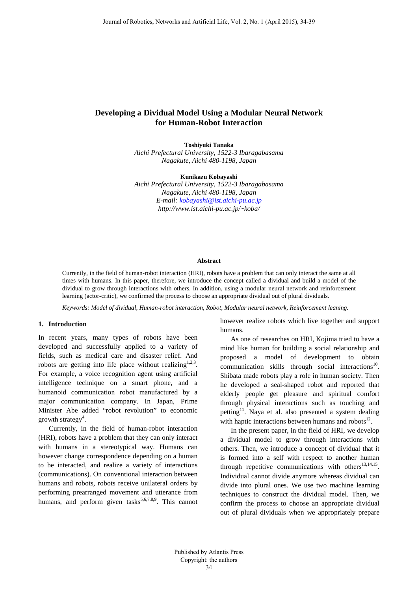# **Developing a Dividual Model Using a Modular Neural Network for Human-Robot Interaction**

**Toshiyuki Tanaka** *Aichi Prefectural University, 1522-3 Ibaragabasama Nagakute, Aichi 480-1198, Japan*

**Kunikazu Kobayashi**

*Aichi Prefectural University, 1522-3 Ibaragabasama Nagakute, Aichi 480-1198, Japan E-mail[: kobayashi@ist.aichi-pu.ac.jp](mailto:kobayashi@ist.aichi-pu.ac.jp) http://www.ist.aichi-pu.ac.jp/~koba/*

### **Abstract**

Currently, in the field of human-robot interaction (HRI), robots have a problem that can only interact the same at all times with humans. In this paper, therefore, we introduce the concept called a dividual and build a model of the dividual to grow through interactions with others. In addition, using a modular neural network and reinforcement learning (actor-critic), we confirmed the process to choose an appropriate dividual out of plural dividuals.

*Keywords: Model of dividual, Human-robot interaction, Robot, Modular neural network, Reinforcement leaning.*

### **1. Introduction**

In recent years, many types of robots have been developed and successfully applied to a variety of fields, such as medical care and disaster relief. And robots are getting into life place without realizing<sup>1,2,3</sup>. For example, a voice recognition agent using artificial intelligence technique on a smart phone, and a humanoid communication robot manufactured by a major communication company. In Japan, Prime Minister Abe added "robot revolution" to economic growth strategy<sup>4</sup>.

Currently, in the field of human-robot interaction (HRI), robots have a problem that they can only interact with humans in a stereotypical way. Humans can however change correspondence depending on a human to be interacted, and realize a variety of interactions (communications). On conventional interaction between humans and robots, robots receive unilateral orders by performing prearranged movement and utterance from humans, and perform given tasks<sup>5,6,7,8,9</sup>. This cannot however realize robots which live together and support humans.

As one of researches on HRI, Kojima tried to have a mind like human for building a social relationship and proposed a model of development to obtain communication skills through social interactions<sup>10</sup>. Shibata made robots play a role in human society. Then he developed a seal-shaped robot and reported that elderly people get pleasure and spiritual comfort through physical interactions such as touching and petting<sup>11</sup>. Naya et al. also presented a system dealing with haptic interactions between humans and robots $12$ .

In the present paper, in the field of HRI, we develop a dividual model to grow through interactions with others. Then, we introduce a concept of dividual that it is formed into a self with respect to another human through repetitive communications with others $13,14,15$ . Individual cannot divide anymore whereas dividual can divide into plural ones. We use two machine learning techniques to construct the dividual model. Then, we confirm the process to choose an appropriate dividual out of plural dividuals when we appropriately prepare